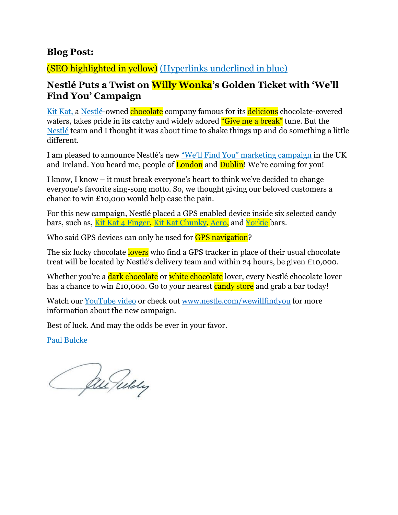## **Blog Post:**

## (SEO highlighted in yellow) (Hyperlinks underlined in blue)

# **Nestlé Puts a Twist on Willy Wonka's Golden Ticket with 'We'll Find You' Campaign**

Kit Kat, a Nestlé-owned chocolate company famous for its delicious chocolate-covered wafers, takes pride in its catchy and widely adored "Give me a break" tune. But the Nestlé team and I thought it was about time to shake things up and do something a little different.

I am pleased to announce Nestlé's new "We'll Find You" marketing campaign in the UK and Ireland. You heard me, people of **London** and **Dublin!** We're coming for you!

I know, I know – it must break everyone's heart to think we've decided to change everyone's favorite sing-song motto. So, we thought giving our beloved customers a chance to win £10,000 would help ease the pain.

For this new campaign, Nestlé placed a GPS enabled device inside six selected candy bars, such as, Kit Kat 4 Finger, Kit Kat Chunky, Aero, and Yorkie bars.

Who said GPS devices can only be used for **GPS navigation**?

The six lucky chocolate lovers who find a GPS tracker in place of their usual chocolate treat will be located by Nestlé's delivery team and within 24 hours, be given £10,000.

Whether you're a dark chocolate or white chocolate lover, every Nestlé chocolate lover has a chance to win £10,000. Go to your nearest candy store and grab a bar today!

Watch our YouTube video or check out [www.nestle.com/wewillfindyou](http://www.nestle.com/wewillfindyou) for more information about the new campaign.

Best of luck. And may the odds be ever in your favor.

Paul Bulcke

Churuldy